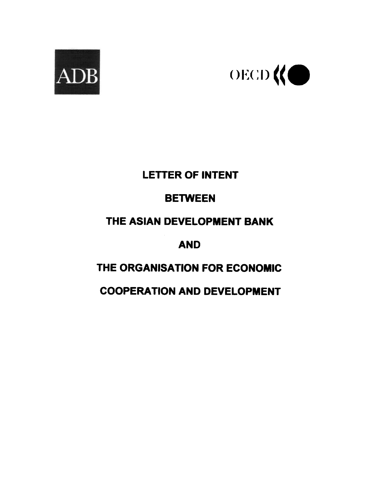



## **LETTER OF INTENT**

# **BETWEEN**

## THE ASIAN DEVELOPMENT BANK

**AND** 

# THE ORGANISATION FOR ECONOMIC

# **COOPERATION AND DEVELOPMENT**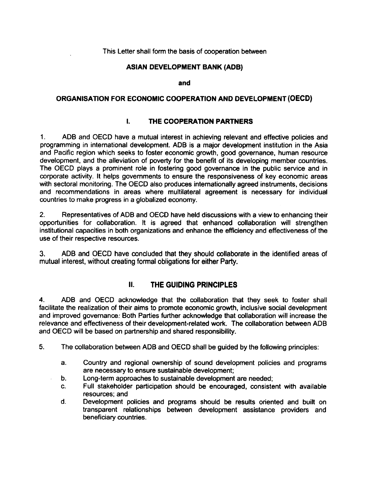#### This Letter shall form the basis of cooperation between

#### ASIAN DEVELOPMENT BANK (ADB)

and

### ORGANISATION FOR ECONOMIC COOPERATION AND DEVELOPMENT (OECD)

#### $\mathbf{L}$ THE COOPERATION PARTNERS

1. ADB and OECD have a mutual interest in achieving relevant and effective policies and programming in international development. ADB is a major development institution in the Asia  $1<sub>1</sub>$ and Pacific region which seeks to foster economic growth, good governance, human resource development, and the alleviation of poverty for the benefit of its developing member countries. The OECD plays a prominent role in fostering good governance in the public service and in corporate activity. It helps governments to ensure the responsiveness of key economic areas with sectoral monitoring. The OECD also produces internationally agreed instruments, decisions and recommendations in areas where multilateral agreement is necessary for individual countries to make progress in a globalized economy.

 $2<sup>1</sup>$ 2. Representatives of ADB and OECD have held discussions with a view to enhancing their opportunities for collaboration. It is agreed that enhanced collaboration will strengthen institutional capacities in both organizations and enhance the efficiency and effectiveness of the use of their respective resources.

3. ADB and OECD have concluded that they should collaborate in the identified areas of mutual interest, without creating formal obligations for either Party.

#### II. THE GUIDING PRINCIPLES

4. ADB and OECD acknowledge that the collaboration that they seek to foster shall facilitate the realization of their aims to promote economic growth, inclusive social development<br>and improved governance: Both Parties further acknowledge that collaboration will increase the relevance and effectiveness of their development-related work. The collaboration between ADB and OECD will be based on partnership and shared responsibility.

- 5. The collaboration between ADB and OECD shall be guided by the following principles:
	- a. Country and regional ownership of sound development policies and programs are necessary to ensure sustainable development;
	- b. Long-term approaches to sustainable development are needed;
	- c. Full stakeholder participation should be encouraged, consistent with available resources; and
	- d. Development policies and programs should be results oriented and built on transparent relationships between development assistance providers and beneficiary countries.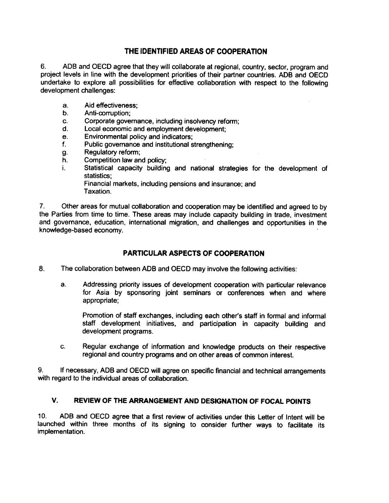### THE IDENTIFIED AREAS OF COOPERATION

6. AOB and DECO agree that they will collaborate at regional, country, sector, program and project levels in line with the development priorities of their partner countries. AOB and DECO undertake to explore all possibilities for effective collaboration with respect to the following development challenges:

- Aid effectiveness; 8.
- Anti-corruption; b.
- Corporate governance, including insolvency reform; c.
- Local economic and employment development; d.
- Environmental policy and indicators; e.
- Public governance and institutional strengthening; f.
- Regulatory reform; g.
- Competition law and policy; h.
- Statistical capacity building and national strategies for the development of statistics; i.

Financial markets, including pensions and insurance; and Taxation.

7. Other areas for mutual collaboration and cooperation may be identified and agreed to by the Parties from time to time. These areas may include capacity building in trade, investment and governance, education, international migration, and challenges and opportunities in the knowledge-based economy.

### PARTICULAR ASPECTS OF COOPERATION

- 8. The collaboration between ADB and OECD may involve the following activities:
	- a. Addressing priority issues of development cooperation with particular relevance for Asia by sponsoring joint seminars or conferences when and where appropriate;

Promotion of staff exchanges, including each other's staff in formal and informal staff development initiatives, and participation in capacity building and development programs.

c. Regular exchange of information and knowledge products on their respective regional and country programs and on other areas of common interest.

9. If necessary, ADB and OECD will agree on specific financial and technical arrangements with regard to the individual areas of collaboration.

### V. REVIEW OF THE ARRANGEMENT AND DESIGNATION OF FOCAL POINTS

ADB and OECD agree that a first review of activities under this Letter of Intent will be  $10.$ launched within three months of its signing to consider further ways to facilitate its implementation.